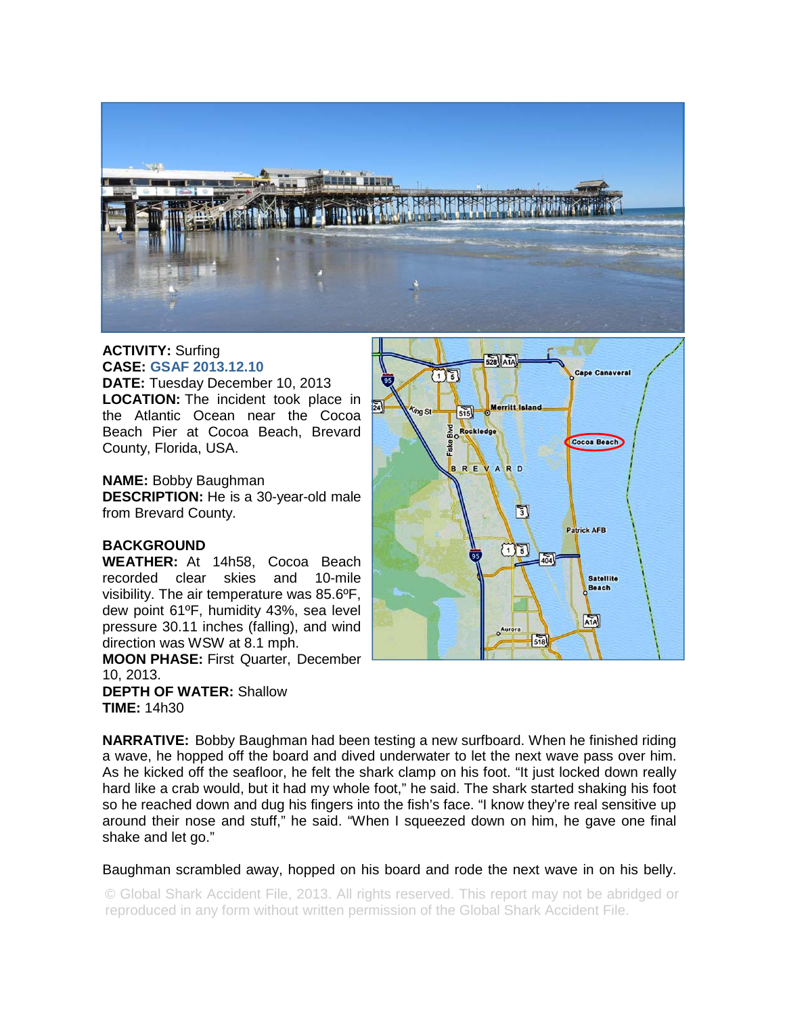

## **ACTIVITY:** Surfing **CASE: GSAF 2013.12.10**

**DATE:** Tuesday December 10, 2013 **LOCATION:** The incident took place in the Atlantic Ocean near the Cocoa Beach Pier at Cocoa Beach, Brevard County, Florida, USA.

## **NAME:** Bobby Baughman

**DESCRIPTION:** He is a 30-year-old male from Brevard County.

## **BACKGROUND**

**WEATHER:** At 14h58, Cocoa Beach recorded clear skies and 10-mile visibility. The air temperature was 85.6ºF, dew point 61ºF, humidity 43%, sea level pressure 30.11 inches (falling), and wind direction was WSW at 8.1 mph.

**MOON PHASE:** First Quarter, December 10, 2013. **DEPTH OF WATER:** Shallow

**TIME:** 14h30



**NARRATIVE:** Bobby Baughman had been testing a new surfboard. When he finished riding a wave, he hopped off the board and dived underwater to let the next wave pass over him. As he kicked off the seafloor, he felt the shark clamp on his foot. "It just locked down really hard like a crab would, but it had my whole foot," he said. The shark started shaking his foot so he reached down and dug his fingers into the fish's face. "I know they're real sensitive up around their nose and stuff," he said. "When I squeezed down on him, he gave one final shake and let go."

Baughman scrambled away, hopped on his board and rode the next wave in on his belly.

© Global Shark Accident File, 2013. All rights reserved. This report may not be abridged or reproduced in any form without written permission of the Global Shark Accident File.